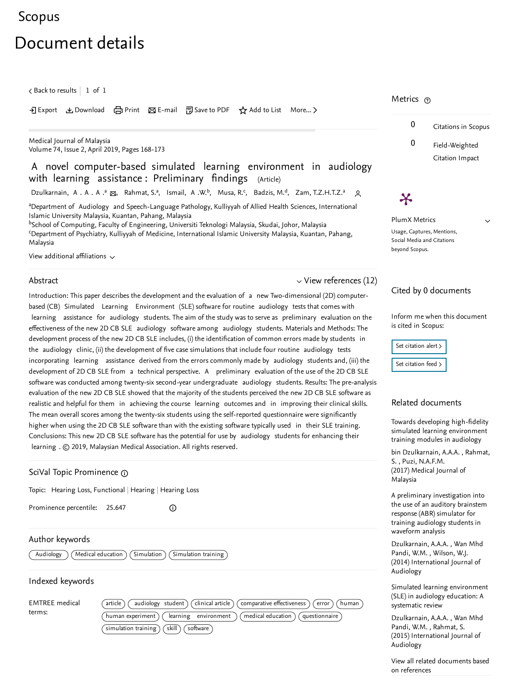# <span id="page-0-1"></span>[Scopus](https://www.scopus.com/home.uri?zone=header&origin=searchbasic)

# Document details

 $\zeta$  Back to [results](https://www.scopus.com/results/results.uri?sort=plf-f&src=s&st1=0300-5283&nlo=&nlr=&nls=&sid=32450522c32ebe796e341c67ca7d80a5&sot=b&sdt=sisr&sl=15&s=ISSN%280300-5283%29&ref=%28A+novel+computer-based+simulated+learning+environment+in+audiology+with+learning+assistance%3a+Preliminary+findings%29&offset=1&origin=recordpage)  $\vert\,$   $\,$  1 of  $\,$  1  $\,$ 

• Export と Download (日 Print ) E-mail 阿 Save to PDF ☆ Add to List More... 〉

Medical Journal of [Malaysia](https://www.scopus.com/sourceid/17838?origin=recordpage) Volume 74, Issue 2, April 2019, Pages 168-173

## A novel computer-based simulated learning environment in audiology with learning assistance: Preliminary findings (Article)

[Dzulkarnain,](https://www.scopus.com/authid/detail.uri?authorId=23090444400&eid=2-s2.0-85066061235) A . A . A .ª  $_{\bf \Xi_{0}}$ , [Rahmat,](https://www.scopus.com/authid/detail.uri?authorId=56786092100&eid=2-s2.0-85066061235) S.ª, [Ismail,](https://www.scopus.com/authid/detail.uri?authorId=34874868400&eid=2-s2.0-85066061235) A .W. $^{\rm b}$ , [Musa,](https://www.scopus.com/authid/detail.uri?authorId=55307656000&eid=2-s2.0-85066061235) R. $^{\rm c}$ , [Badzis,](https://www.scopus.com/authid/detail.uri?authorId=57193443916&eid=2-s2.0-85066061235) M. $^{\rm d}$ , Zam, [T.Z.H.T.Z.](https://www.scopus.com/authid/detail.uri?authorId=57209339270&eid=2-s2.0-85066061235)ª Q

<sup>a</sup>Department of Audiology and Speech-Language Pathology, Kulliyyah of Allied Health Sciences, International Islamic University Malaysia, Kuantan, Pahang, Malaysia

<sup>b</sup>School of Computing, Faculty of Engineering, Universiti Teknologi Malaysia, Skudai, Johor, Malaysia  $\epsilon$ Department of Psychiatry, Kulliyyah of Medicine, International Islamic University Malaysia, Kuantan, Pahang, Malaysia

View additional affiliations  $\sim$ 

#### Abstract

# $\vee$  View [references](#page-1-0) (12)

Introduction: This paper describes the development and the evaluation of a new Two-dimensional (2D) computerbased (CB) Simulated Learning Environment (SLE) software for routine audiology tests that comes with learning assistance for audiology students. The aim of the study was to serve as preliminary evaluation on the effectiveness of the new 2D CB SLE audiology software among audiology students. Materials and Methods: The development process of the new 2D CB SLE includes, (i) the identification of common errors made by students in the audiology clinic, (ii) the development of five case simulations that include four routine audiology tests incorporating learning assistance derived from the errors commonly made by audiology students and, (iii) the development of 2D CB SLE from a technical perspective. A preliminary evaluation of the use of the 2D CB SLE software was conducted among twenty-six second-year undergraduate audiology students. Results: The pre-analysis evaluation of the new 2D CB SLE showed that the majority of the students perceived the new 2D CB SLE software as realistic and helpful for them in achieving the course learning outcomes and in improving their clinical skills. The mean overall scores among the twenty-six students using the self-reported questionnaire were significantly higher when using the 2D CB SLE software than with the existing software typically used in their SLE training. Conclusions: This new 2D CB SLE software has the potential for use by audiology students for enhancing their learning . © 2019, Malaysian Medical Association. All rights reserved.

#### SciVal Topic Prominence

Topic: Hearing Loss, Functional | Hearing | Hearing Loss

Prominence percentile: 25.647

 $^\circledR$ 

#### Author keywords

 $\overline{\text{Audiology}}$   $\left(\overline{\text{Medical education}}\right)\left(\overline{\text{Simulation}}\right)\left(\overline{\text{Simulation training}}\right)$ 

#### Indexed keywords

EMTREE medical terms:

| article) (audiology student) (clinical article) (comparative effectiveness) (error) (human |
|--------------------------------------------------------------------------------------------|
| human experiment) (learning environment) (medical education) (questionnaire                |
| simulation training $($ skill $)$ $($ software $)$                                         |

#### Metrics <sub>⑦</sub>

 $\boldsymbol{\varkappa}$ 



 $\checkmark$ 

<span id="page-0-0"></span>PlumX Metrics Usage, Captures, Mentions, Social Media and Citations beyond Scopus.

#### Cited by 0 documents

Inform me when this document is cited in Scopus:

| Set citation alert > |  |
|----------------------|--|
| Set citation feed >  |  |

#### Related documents

Towards developing high-fidelity simulated learning [environment](https://www.scopus.com/record/display.uri?origin=recordpage&zone=relatedDocuments&eid=2-s2.0-85014006044&citeCnt=0&noHighlight=false&sort=plf-f&src=s&st1=0300-5283&nlo=&nlr=&nls=&sid=32450522c32ebe796e341c67ca7d80a5&sot=b&sdt=sisr&sl=15&s=ISSN%280300-5283%29&ref=%28A+novel+computer-based+simulated+learning+environment+in+audiology+with+learning+assistance%3a+Preliminary+findings%29&relpos=0) training modules in audiology

, bin [Dzulkarnain,](https://www.scopus.com/authid/detail.uri?origin=recordpage&authorId=57193440604&zone=relatedDocuments) A.A.A. Rahmat, , S. Puzi, [N.A.F.M.](https://www.scopus.com/authid/detail.uri?origin=recordpage&authorId=57193441263&zone=relatedDocuments) (2017) Medical Journal of Malaysia

A preliminary [investigation](https://www.scopus.com/record/display.uri?origin=recordpage&zone=relatedDocuments&eid=2-s2.0-84904112533&citeCnt=0&noHighlight=false&sort=plf-f&src=s&st1=0300-5283&nlo=&nlr=&nls=&sid=32450522c32ebe796e341c67ca7d80a5&sot=b&sdt=sisr&sl=15&s=ISSN%280300-5283%29&ref=%28A+novel+computer-based+simulated+learning+environment+in+audiology+with+learning+assistance%3a+Preliminary+findings%29&relpos=1) into the use of an auditory brainstem response (ABR) simulator for training audiology students in waveform analysis

, [Dzulkarnain,](https://www.scopus.com/authid/detail.uri?origin=recordpage&authorId=23090444400&zone=relatedDocuments) A.A.A. Wan Mhd Pandi, W.M. , [Wilson,](https://www.scopus.com/authid/detail.uri?origin=recordpage&authorId=7404032575&zone=relatedDocuments) W.J. (2014) International Journal of Audiology

Simulated learning [environment](https://www.scopus.com/record/display.uri?origin=recordpage&zone=relatedDocuments&eid=2-s2.0-84949501554&citeCnt=0&noHighlight=false&sort=plf-f&src=s&st1=0300-5283&nlo=&nlr=&nls=&sid=32450522c32ebe796e341c67ca7d80a5&sot=b&sdt=sisr&sl=15&s=ISSN%280300-5283%29&ref=%28A+novel+computer-based+simulated+learning+environment+in+audiology+with+learning+assistance%3a+Preliminary+findings%29&relpos=2) (SLE) in audiology education: A systematic review

, [Dzulkarnain,](https://www.scopus.com/authid/detail.uri?origin=recordpage&authorId=23090444400&zone=relatedDocuments) A.A.A. Wan Mhd , Pandi, W.M. [Rahmat,](https://www.scopus.com/authid/detail.uri?origin=recordpage&authorId=56786092100&zone=relatedDocuments) S. (2015) International Journal of Audiology

View all related [documents](https://www.scopus.com/search/submit/mlt.uri?eid=2-s2.0-85066061235&src=s&all=true&origin=recordpage&method=ref&zone=relatedDocuments) based on references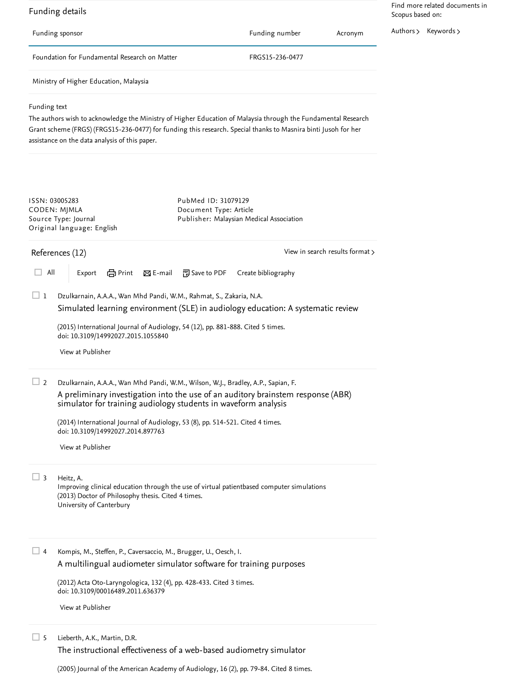<span id="page-1-0"></span>References (12) Funding details Funding sponsor Funding number Acronym Foundation for Fundamental Research on Matter FRGS15-236-0477 Ministry of Higher Education, Malaysia Funding text The authors wish to acknowledge the Ministry of Higher Education of Malaysia through the Fundamental Research Grant scheme (FRGS) (FRGS15-236-0477) for funding this research. Special thanks to Masnira binti Jusoh for her assistance on the data analysis of this paper. Dzulkarnain, A.A.A., Wan Mhd Pandi, W.M., Rahmat, S., Zakaria, N.A. (2015) International Journal of Audiology, 54 (12), pp. 881-888. Cited 5 [times](https://www.scopus.com/search/submit/citedby.uri?eid=2-s2.0-85066061235&refeid=2-s2.0-84949501554&src=s&origin=reflist&refstat=core).<br>doi: 10.3109/14992027.2015.1055840<br>[View](https://www.scopus.com/redirect/linking.uri?targetURL=https%3a%2f%2fdoi.org%2f10.3109%2f14992027.2015.1055840&locationID=3&categoryID=4&eid=2-s2.0-84949501554&issn=17088186&linkType=ViewAtPublisher&year=2015&origin=reflist&dig=c5341467a442701ef3cfa14359ebf9b4&recordRank=) at Publisher doi: 10.3109/14992027.2015.1055840 Dzulkarnain, A.A.A., Wan Mhd Pandi, W.M., Wilson, W.J., Bradley, A.P., Sapian, F. (2014) International Journal of Audiology, 53 (8), pp. 514-521. Cited 4 [times](https://www.scopus.com/search/submit/citedby.uri?eid=2-s2.0-85066061235&refeid=2-s2.0-84904112533&src=s&origin=reflist&refstat=core). doi: 10.3109/14992027.2014.897763 Heitz, A. Improving clinical education through the use of virtual patientbased computer simulations (2013) Doctor of Philosophy thesis. Cited 4 times. University of Canterbury (2013) Doctor of Philosophy thesis. Cited 4 [times](https://www.scopus.com/search/submit/citedby.uri?eid=2-s2.0-85066061235&refeid=2-s2.0-84904094288&src=s&origin=reflist&refstat=dummy).<br>University of Canterbury<br>4 Kompis, M., Steffen, P., Caversaccio, M., Brugger, U., Oesch, I. (2012) Acta Oto-Laryngologica, 132 (4), pp. 428-433. Cited 3 [times](https://www.scopus.com/search/submit/citedby.uri?eid=2-s2.0-85066061235&refeid=2-s2.0-84858962811&src=s&origin=reflist&refstat=core). doi: 10.3109/00016489.2011.636379 Lieberth, A.K., Martin, D.R. ISSN: 03005283 CODEN: MJMLA Source Type: Journal Original language: English PubMed ID: [31079129](https://www.scopus.com/redirect/linking.uri?targetURL=http%3a%2f%2fwww.ncbi.nlm.nih.gov%2fpubmed%2f31079129&locationID=1&categoryID=41&linkType=PubMedLinking&origin=recordpage&zone=journalDetails&dig=2a35e0e4c63fcb48dd2457322dbb400f) Document Type: Article Publisher: Malaysian Medical Association View in search results [format](https://www.scopus.com/search/submit/references.uri?sort=plf-f&src=r&imp=t&sid=e41060d192a002cf0cb02fb1c2227aa1&sot=rec&sdt=citedreferences&sl=23&s=EID%282-s2.0-85066061235%29&origin=recordpage&citeCnt=1&citingId=2-s2.0-85066061235) > □ All | Export 日 Print ⊠ E-mail 可 Save to PDF Create bibliography  $\Box$  1 Simulated learning [environment](https://www.scopus.com/record/display.uri?eid=2-s2.0-84949501554&origin=reflist&sort=plf-f&src=s&st1=0300-5283&nlo=&nlr=&nls=&sid=32450522c32ebe796e341c67ca7d80a5&sot=b&sdt=sisr&sl=15&s=ISSN%280300-5283%29&ref=%28A+novel+computer-based+simulated+learning+environment+in+audiology+with+learning+assistance%3a+Preliminary+findings%29&recordRank=) (SLE) in audiology education: A systematic review  $\Box$  2 A preliminary [investigation](https://www.scopus.com/record/display.uri?eid=2-s2.0-84904112533&origin=reflist&sort=plf-f&src=s&st1=0300-5283&nlo=&nlr=&nls=&sid=32450522c32ebe796e341c67ca7d80a5&sot=b&sdt=sisr&sl=15&s=ISSN%280300-5283%29&ref=%28A+novel+computer-based+simulated+learning+environment+in+audiology+with+learning+assistance%3a+Preliminary+findings%29&recordRank=) into the use of an auditory brainstem response (ABR) simulator for training audiology students in waveform analysis View at [Publisher](https://www.scopus.com/redirect/linking.uri?targetURL=https%3a%2f%2fdoi.org%2f10.3109%2f14992027.2014.897763&locationID=3&categoryID=4&eid=2-s2.0-84904112533&issn=17088186&linkType=ViewAtPublisher&year=2014&origin=reflist&dig=3c830bcbe4a79a34a562853e1546635f&recordRank=)  $\Box$  3 A [multilingual](https://www.scopus.com/record/display.uri?eid=2-s2.0-84858962811&origin=reflist&sort=plf-f&src=s&st1=0300-5283&nlo=&nlr=&nls=&sid=32450522c32ebe796e341c67ca7d80a5&sot=b&sdt=sisr&sl=15&s=ISSN%280300-5283%29&ref=%28A+novel+computer-based+simulated+learning+environment+in+audiology+with+learning+assistance%3a+Preliminary+findings%29&recordRank=) audiometer simulator software for training purposes View at [Publisher](https://www.scopus.com/redirect/linking.uri?targetURL=https%3a%2f%2fdoi.org%2f10.3109%2f00016489.2011.636379&locationID=3&categoryID=4&eid=2-s2.0-84858962811&issn=00016489&linkType=ViewAtPublisher&year=2012&origin=reflist&dig=47a579958eb83bf6fa5ae01a560e830a&recordRank=)  $\Box$  5 The [instructional](https://www.scopus.com/record/display.uri?eid=2-s2.0-20844457942&origin=reflist&sort=plf-f&src=s&st1=0300-5283&nlo=&nlr=&nls=&sid=32450522c32ebe796e341c67ca7d80a5&sot=b&sdt=sisr&sl=15&s=ISSN%280300-5283%29&ref=%28A+novel+computer-based+simulated+learning+environment+in+audiology+with+learning+assistance%3a+Preliminary+findings%29&recordRank=) effectiveness of a web-based audiometry simulator Find more related documents in Scopus based on: [Authors](https://www.scopus.com/search/submit/mlt.uri?eid=2-s2.0-85066061235&src=s&all=true&origin=recordpage&method=aut&zone=relatedDocuments) > [Keywords](https://www.scopus.com/search/submit/mlt.uri?eid=2-s2.0-85066061235&src=s&all=true&origin=recordpage&method=key&zone=relatedDocuments) >

(2005) Journal of the American Academy of Audiology, 16 (2), pp. 79-84. Cited 8 [times](https://www.scopus.com/search/submit/citedby.uri?eid=2-s2.0-85066061235&refeid=2-s2.0-20844457942&src=s&origin=reflist&refstat=core).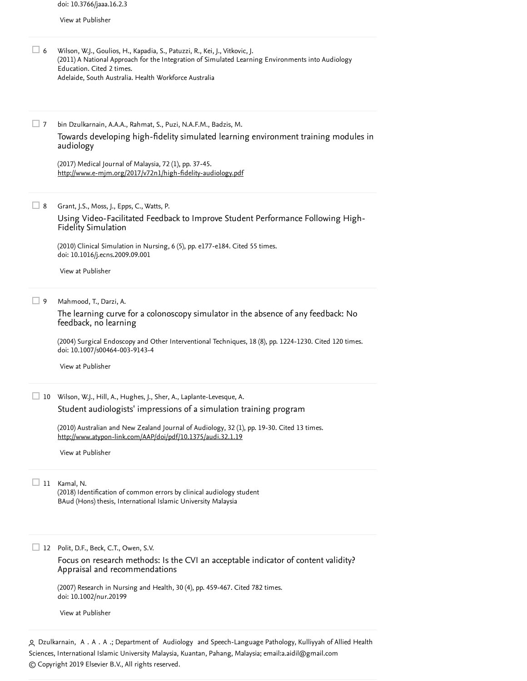View at [Publisher](https://www.scopus.com/redirect/linking.uri?targetURL=https%3a%2f%2fdoi.org%2f10.3766%2fjaaa.16.2.3&locationID=3&categoryID=4&eid=2-s2.0-20844457942&issn=10500545&linkType=ViewAtPublisher&year=2005&origin=reflist&dig=962a98f74de121e2d0b7dabd7b11f902&recordRank=)

- Wilson, W.J., Goulios, H., Kapadia, S., Patuzzi, R., Kei, J., Vitkovic, J. (2011) A National Approach for the Integration of Simulated Learning Environments into Audiology Education. Cited 2 [times](https://www.scopus.com/search/submit/citedby.uri?eid=2-s2.0-85066061235&refeid=2-s2.0-84949498229&src=s&origin=reflist&refstat=dummy). Adelaide, South Australia. Health Workforce Australia  $\Box$  6
- bin Dzulkarnain, A.A.A., Rahmat, S., Puzi, N.A.F.M., Badzis, M.  $\Box$  7 Towards developing high-fidelity simulated learning [environment](https://www.scopus.com/record/display.uri?eid=2-s2.0-85014006044&origin=reflist&sort=plf-f&src=s&st1=0300-5283&nlo=&nlr=&nls=&sid=32450522c32ebe796e341c67ca7d80a5&sot=b&sdt=sisr&sl=15&s=ISSN%280300-5283%29&ref=%28A+novel+computer-based+simulated+learning+environment+in+audiology+with+learning+assistance%3a+Preliminary+findings%29&recordRank=) training modules in audiology

(2017) Medical Journal of Malaysia, 72 (1), pp. 37-45. <http://www.e-mjm.org/2017/v72n1/high-fidelity-audiology.pdf>

Grant, J.S., Moss, J., Epps, C., Watts, P. 8

Using [Video-Facilitated](https://www.scopus.com/record/display.uri?eid=2-s2.0-77956187698&origin=reflist&sort=plf-f&src=s&st1=0300-5283&nlo=&nlr=&nls=&sid=32450522c32ebe796e341c67ca7d80a5&sot=b&sdt=sisr&sl=15&s=ISSN%280300-5283%29&ref=%28A+novel+computer-based+simulated+learning+environment+in+audiology+with+learning+assistance%3a+Preliminary+findings%29&recordRank=) Feedback to Improve Student Performance Following High-Fidelity Simulation

(2010) Clinical Simulation in Nursing, 6 (5), pp. e177-e184. Cited 55 [times](https://www.scopus.com/search/submit/citedby.uri?eid=2-s2.0-85066061235&refeid=2-s2.0-77956187698&src=s&origin=reflist&refstat=core). doi: 10.1016/j.ecns.2009.09.001

View at [Publisher](https://www.scopus.com/redirect/linking.uri?targetURL=https%3a%2f%2fdoi.org%2f10.1016%2fj.ecns.2009.09.001&locationID=3&categoryID=4&eid=2-s2.0-77956187698&issn=18761399&linkType=ViewAtPublisher&year=2010&origin=reflist&dig=056f2fee25fa610cc2b75bca30d69b9a&recordRank=)

Mahmood, T., Darzi, A.  $\Box$  9

> The learning curve for a [colonoscopy](https://www.scopus.com/record/display.uri?eid=2-s2.0-3543044346&origin=reflist&sort=plf-f&src=s&st1=0300-5283&nlo=&nlr=&nls=&sid=32450522c32ebe796e341c67ca7d80a5&sot=b&sdt=sisr&sl=15&s=ISSN%280300-5283%29&ref=%28A+novel+computer-based+simulated+learning+environment+in+audiology+with+learning+assistance%3a+Preliminary+findings%29&recordRank=) simulator in the absence of any feedback: No feedback, no learning

(2004) Surgical Endoscopy and Other Interventional Techniques, 18 (8), pp. 1224-1230. Cited 120 [times](https://www.scopus.com/search/submit/citedby.uri?eid=2-s2.0-85066061235&refeid=2-s2.0-3543044346&src=s&origin=reflist&refstat=core). doi: 10.1007/s00464-003-9143-4

View at [Publisher](https://www.scopus.com/redirect/linking.uri?targetURL=https%3a%2f%2fdoi.org%2f10.1007%2fs00464-003-9143-4&locationID=3&categoryID=4&eid=2-s2.0-3543044346&issn=09302794&linkType=ViewAtPublisher&year=2004&origin=reflist&dig=453b45693a26f3ae610eecb460c8f666&recordRank=)

Wilson, W.J., Hill, A., Hughes, J., Sher, A., Laplante-Levesque, A. 10

Student [audiologists'](https://www.scopus.com/record/display.uri?eid=2-s2.0-77956486452&origin=reflist&sort=plf-f&src=s&st1=0300-5283&nlo=&nlr=&nls=&sid=32450522c32ebe796e341c67ca7d80a5&sot=b&sdt=sisr&sl=15&s=ISSN%280300-5283%29&ref=%28A+novel+computer-based+simulated+learning+environment+in+audiology+with+learning+assistance%3a+Preliminary+findings%29&recordRank=) impressions of a simulation training program

(2010) Australian and New Zealand Journal of Audiology, 32 (1), pp. 19-30. Cited 13 [times](https://www.scopus.com/search/submit/citedby.uri?eid=2-s2.0-85066061235&refeid=2-s2.0-77956486452&src=s&origin=reflist&refstat=core). <http://www.atypon-link.com/AAP/doi/pdf/10.1375/audi.32.1.19>

View at [Publisher](https://www.scopus.com/redirect/linking.uri?targetURL=http%3a%2f%2fdx.doi.org%2f10.1375%2faudi.32.1.19&locationID=3&categoryID=4&eid=2-s2.0-77956486452&issn=01571532&linkType=ViewAtPublisher&year=2010&origin=reflist&dig=d22b5c49da758299669630595b043681&recordRank=)

#### Kamal, N. 11

(2018) Identification of common errors by clinical audiology student BAud (Hons) thesis, International Islamic University Malaysia

Polit, D.F., Beck, C.T., Owen, S.V. 12

Focus on research methods: Is the CVI an acceptable indicator of content validity? Appraisal and [recommendations](https://www.scopus.com/record/display.uri?eid=2-s2.0-34548203767&origin=reflist&sort=plf-f&src=s&st1=0300-5283&nlo=&nlr=&nls=&sid=32450522c32ebe796e341c67ca7d80a5&sot=b&sdt=sisr&sl=15&s=ISSN%280300-5283%29&ref=%28A+novel+computer-based+simulated+learning+environment+in+audiology+with+learning+assistance%3a+Preliminary+findings%29&recordRank=)

(2007) Research in Nursing and Health, 30 (4), pp. 459-467. Cited 782 [times](https://www.scopus.com/search/submit/citedby.uri?eid=2-s2.0-85066061235&refeid=2-s2.0-34548203767&src=s&origin=reflist&refstat=core). doi: 10.1002/nur.20199

View at [Publisher](https://www.scopus.com/redirect/linking.uri?targetURL=https%3a%2f%2fdoi.org%2f10.1002%2fnur.20199&locationID=3&categoryID=4&eid=2-s2.0-34548203767&issn=01606891&linkType=ViewAtPublisher&year=2007&origin=reflist&dig=aea16d94d3ff56ad1e6bf4965b81063c&recordRank=)

<span id="page-2-0"></span>Dzulkarnain, A . A . A .; Department of Audiology and Speech-Language Pathology, Kulliyyah of Allied Health Sciences, International Islamic University Malaysia, Kuantan, Pahang, Malaysia; email: [a.aidil@gmail.com](mailto:a.aidil@gmail.com)© Copyright 2019 Elsevier B.V., All rights reserved.